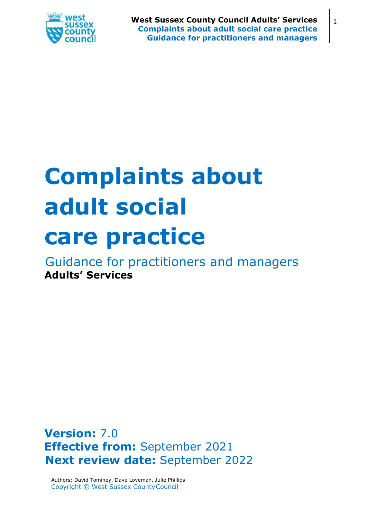

# **Complaints about adult social care practice**

Guidance for practitioners and managers **Adults' Services**

**Version:** 7.0 **Effective from:** September 2021 **Next review date:** September 2022

Authors: David Tominey, Dave Loveman, Julie Phillips Copyright © West Sussex CountyCouncil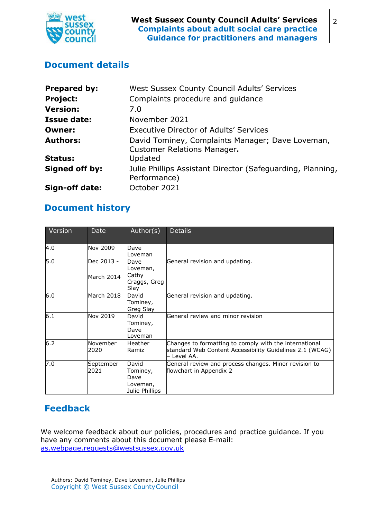

## <span id="page-1-0"></span>**Document details**

| <b>Prepared by:</b> | West Sussex County Council Adults' Services                                            |  |  |
|---------------------|----------------------------------------------------------------------------------------|--|--|
| <b>Project:</b>     | Complaints procedure and guidance                                                      |  |  |
| <b>Version:</b>     | 7.0                                                                                    |  |  |
| <b>Issue date:</b>  | November 2021                                                                          |  |  |
| <b>Owner:</b>       | Executive Director of Adults' Services                                                 |  |  |
| <b>Authors:</b>     | David Tominey, Complaints Manager; Dave Loveman,<br><b>Customer Relations Manager.</b> |  |  |
| <b>Status:</b>      | Updated                                                                                |  |  |
| Signed off by:      | Julie Phillips Assistant Director (Safeguarding, Planning,<br>Performance)             |  |  |
| Sign-off date:      | October 2021                                                                           |  |  |

## <span id="page-1-1"></span>**Document history**

| Version | Date              | Author(s)                                               | <b>Details</b>                                                                                                                    |
|---------|-------------------|---------------------------------------------------------|-----------------------------------------------------------------------------------------------------------------------------------|
| 4.0     | Nov 2009          | Dave<br>Loveman                                         |                                                                                                                                   |
| 5.0     | Dec 2013 -        | Dave<br>Loveman,                                        | General revision and updating.                                                                                                    |
|         | March 2014        | Cathy<br>Craggs, Greg<br>Slay                           |                                                                                                                                   |
| 6.0     | March 2018        | David<br>Tominey,<br>Greg Slay                          | General revision and updating.                                                                                                    |
| 6.1     | Nov 2019          | David<br>Tominey,<br>Dave<br>Loveman                    | General review and minor revision                                                                                                 |
| 6.2     | November<br>2020  | lHeather.<br>Ramiz                                      | Changes to formatting to comply with the international<br>standard Web Content Accessibility Guidelines 2.1 (WCAG)<br>– Level AA. |
| 7.0     | September<br>2021 | David<br>Tominey,<br>Dave<br>Loveman,<br>Julie Phillips | General review and process changes. Minor revision to<br>flowchart in Appendix 2                                                  |

# <span id="page-1-2"></span>**Feedback**

We welcome feedback about our policies, procedures and practice guidance. If you have any comments about this document please E-mail: [as.webpage.requests@westsussex.gov.uk](mailto:as.webpage.requests@westsussex.gov.uk)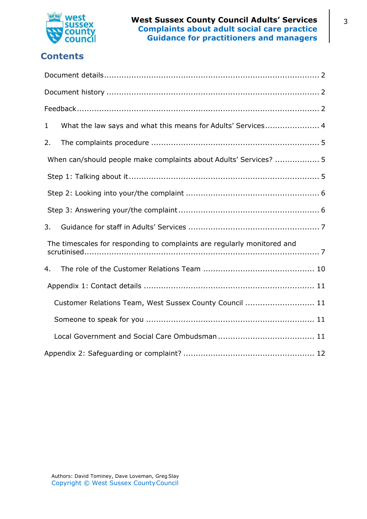

# **Contents**

| What the law says and what this means for Adults' Services 4<br>$\mathbf 1$ |
|-----------------------------------------------------------------------------|
| 2.                                                                          |
| When can/should people make complaints about Adults' Services?  5           |
|                                                                             |
|                                                                             |
|                                                                             |
| 3.                                                                          |
| The timescales for responding to complaints are regularly monitored and     |
| 4.                                                                          |
|                                                                             |
| Customer Relations Team, West Sussex County Council  11                     |
|                                                                             |
|                                                                             |
|                                                                             |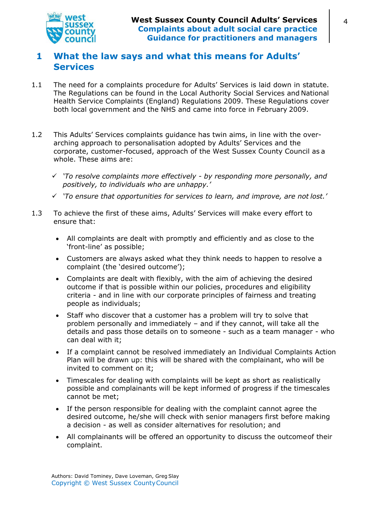

## <span id="page-3-0"></span>**1 What the law says and what this means for Adults' Services**

- 1.1 The need for a complaints procedure for Adults' Services is laid down in statute. The Regulations can be found in the Local Authority Social Services and National Health Service Complaints (England) Regulations 2009. These Regulations cover both local government and the NHS and came into force in February 2009.
- 1.2 This Adults' Services complaints guidance has twin aims, in line with the overarching approach to personalisation adopted by Adults' Services and the corporate, customer-focused, approach of the West Sussex County Council as a whole. These aims are:
	- *'To resolve complaints more effectively by responding more personally, and positively, to individuals who are unhappy.'*
	- *'To ensure that opportunities for services to learn, and improve, are not lost.'*
- 1.3 To achieve the first of these aims, Adults' Services will make every effort to ensure that:
	- All complaints are dealt with promptly and efficiently and as close to the 'front-line' as possible;
	- Customers are always asked what they think needs to happen to resolve a complaint (the 'desired outcome');
	- Complaints are dealt with flexibly, with the aim of achieving the desired outcome if that is possible within our policies, procedures and eligibility criteria - and in line with our corporate principles of fairness and treating people as individuals;
	- Staff who discover that a customer has a problem will try to solve that problem personally and immediately – and if they cannot, will take all the details and pass those details on to someone - such as a team manager - who can deal with it;
	- If a complaint cannot be resolved immediately an Individual Complaints Action Plan will be drawn up: this will be shared with the complainant, who will be invited to comment on it;
	- Timescales for dealing with complaints will be kept as short as realistically possible and complainants will be kept informed of progress if the timescales cannot be met;
	- If the person responsible for dealing with the complaint cannot agree the desired outcome, he/she will check with senior managers first before making a decision - as well as consider alternatives for resolution; and
	- All complainants will be offered an opportunity to discuss the outcomeof their complaint.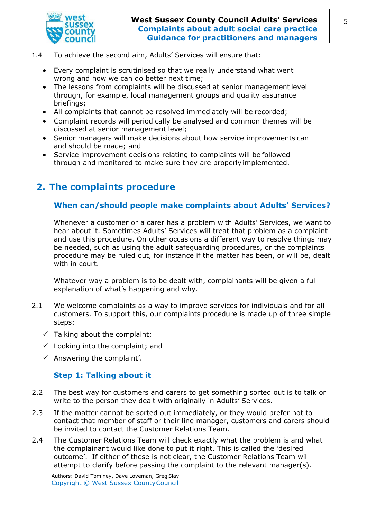

- 1.4 To achieve the second aim, Adults' Services will ensure that:
	- Every complaint is scrutinised so that we really understand what went wrong and how we can do better next time;
	- The lessons from complaints will be discussed at senior management level through, for example, local management groups and quality assurance briefings;
	- All complaints that cannot be resolved immediately will be recorded;
	- Complaint records will periodically be analysed and common themes will be discussed at senior management level;
	- Senior managers will make decisions about how service improvements can and should be made; and
	- Service improvement decisions relating to complaints will be followed through and monitored to make sure they are properly implemented.

# <span id="page-4-1"></span><span id="page-4-0"></span>**2. The complaints procedure**

#### **When can/should people make complaints about Adults' Services?**

Whenever a customer or a carer has a problem with Adults' Services, we want to hear about it. Sometimes Adults' Services will treat that problem as a complaint and use this procedure. On other occasions a different way to resolve things may be needed, such as using the adult safeguarding procedures, or the complaints procedure may be ruled out, for instance if the matter has been, or will be, dealt with in court.

Whatever way a problem is to be dealt with, complainants will be given a full explanation of what's happening and why.

- 2.1 We welcome complaints as a way to improve services for individuals and for all customers. To support this, our complaints procedure is made up of three simple steps:
	- $\checkmark$  Talking about the complaint;
	- $\checkmark$  Looking into the complaint; and
	- $\checkmark$  Answering the complaint'.

#### **Step 1: Talking about it**

- <span id="page-4-2"></span>2.2 The best way for customers and carers to get something sorted out is to talk or write to the person they dealt with originally in Adults' Services.
- 2.3 If the matter cannot be sorted out immediately, or they would prefer not to contact that member of staff or their line manager, customers and carers should be invited to contact the Customer Relations Team.
- 2.4 The Customer Relations Team will check exactly what the problem is and what the complainant would like done to put it right. This is called the 'desired outcome'. If either of these is not clear, the Customer Relations Team will attempt to clarify before passing the complaint to the relevant manager(s).

Authors: David Tominey, Dave Loveman, Greg Slay Copyright © West Sussex CountyCouncil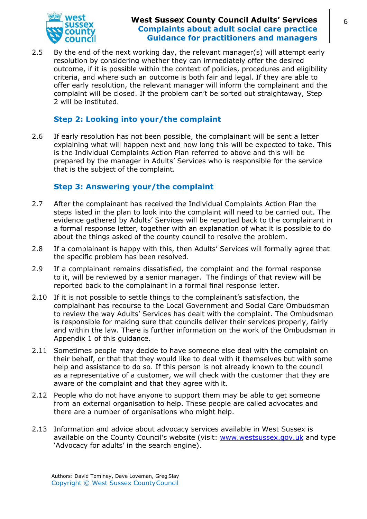

2.5 By the end of the next working day, the relevant manager(s) will attempt early resolution by considering whether they can immediately offer the desired outcome, if it is possible within the context of policies, procedures and eligibility criteria, and where such an outcome is both fair and legal. If they are able to offer early resolution, the relevant manager will inform the complainant and the complaint will be closed. If the problem can't be sorted out straightaway, Step 2 will be instituted.

#### **Step 2: Looking into your/the complaint**

<span id="page-5-0"></span>2.6 If early resolution has not been possible, the complainant will be sent a letter explaining what will happen next and how long this will be expected to take. This is the Individual Complaints Action Plan referred to above and this will be prepared by the manager in Adults' Services who is responsible for the service that is the subject of the complaint.

#### **Step 3: Answering your/the complaint**

- <span id="page-5-1"></span>2.7 After the complainant has received the Individual Complaints Action Plan the steps listed in the plan to look into the complaint will need to be carried out. The evidence gathered by Adults' Services will be reported back to the complainant in a formal response letter, together with an explanation of what it is possible to do about the things asked of the county council to resolve the problem.
- 2.8 If a complainant is happy with this, then Adults' Services will formally agree that the specific problem has been resolved.
- 2.9 If a complainant remains dissatisfied, the complaint and the formal response to it, will be reviewed by a senior manager. The findings of that review will be reported back to the complainant in a formal final response letter.
- 2.10 If it is not possible to settle things to the complainant's satisfaction, the complainant has recourse to the Local Government and Social Care Ombudsman to review the way Adults' Services has dealt with the complaint. The Ombudsman is responsible for making sure that councils deliver their services properly, fairly and within the law. There is further information on the work of the Ombudsman in Appendix 1 of this guidance.
- 2.11 Sometimes people may decide to have someone else deal with the complaint on their behalf, or that that they would like to deal with it themselves but with some help and assistance to do so. If this person is not already known to the council as a representative of a customer, we will check with the customer that they are aware of the complaint and that they agree with it.
- 2.12 People who do not have anyone to support them may be able to get someone from an external organisation to help. These people are called advocates and there are a number of organisations who might help.
- 2.13 Information and advice about advocacy services available in West Sussex is available on the County Council's website (visit: [www.westsussex.gov.uk](https://www.westsussex.gov.uk/) and type 'Advocacy for adults' in the search engine).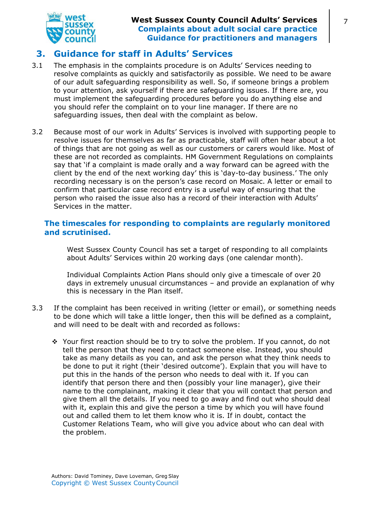

## <span id="page-6-0"></span>**3. Guidance for staff in Adults' Services**

- 3.1 The emphasis in the complaints procedure is on Adults' Services needing to resolve complaints as quickly and satisfactorily as possible. We need to be aware of our adult safeguarding responsibility as well. So, if someone brings a problem to your attention, ask yourself if there are safeguarding issues. If there are, you must implement the safeguarding procedures before you do anything else and you should refer the complaint on to your line manager. If there are no safeguarding issues, then deal with the complaint as below.
- 3.2 Because most of our work in Adults' Services is involved with supporting people to resolve issues for themselves as far as practicable, staff will often hear about a lot of things that are not going as well as our customers or carers would like. Most of these are not recorded as complaints. HM Government Regulations on complaints say that 'if a complaint is made orally and a way forward can be agreed with the client by the end of the next working day' this is 'day-to-day business.' The only recording necessary is on the person's case record on Mosaic. A letter or email to confirm that particular case record entry is a useful way of ensuring that the person who raised the issue also has a record of their interaction with Adults' Services in the matter.

#### <span id="page-6-1"></span>**The timescales for responding to complaints are regularly monitored and scrutinised.**

West Sussex County Council has set a target of responding to all complaints about Adults' Services within 20 working days (one calendar month).

Individual Complaints Action Plans should only give a timescale of over 20 days in extremely unusual circumstances – and provide an explanation of why this is necessary in the Plan itself.

- 3.3 If the complaint has been received in writing (letter or email), or something needs to be done which will take a little longer, then this will be defined as a complaint, and will need to be dealt with and recorded as follows:
	- Your first reaction should be to try to solve the problem. If you cannot, do not tell the person that they need to contact someone else. Instead, you should take as many details as you can, and ask the person what they think needs to be done to put it right (their 'desired outcome'). Explain that you will have to put this in the hands of the person who needs to deal with it. If you can identify that person there and then (possibly your line manager), give their name to the complainant, making it clear that you will contact that person and give them all the details. If you need to go away and find out who should deal with it, explain this and give the person a time by which you will have found out and called them to let them know who it is. If in doubt, contact the Customer Relations Team, who will give you advice about who can deal with the problem.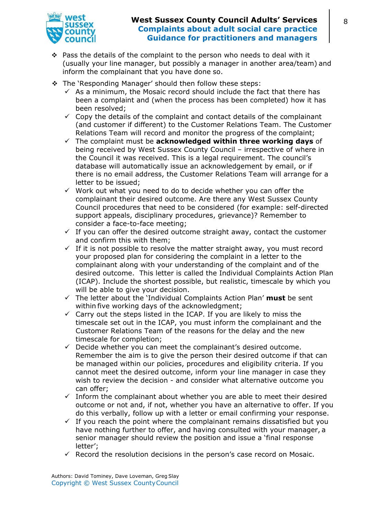

- Pass the details of the complaint to the person who needs to deal with it (usually your line manager, but possibly a manager in another area/team) and inform the complainant that you have done so.
- \* The 'Responding Manager' should then follow these steps:
	- $\checkmark$  As a minimum, the Mosaic record should include the fact that there has been a complaint and (when the process has been completed) how it has been resolved;
	- $\checkmark$  Copy the details of the complaint and contact details of the complainant (and customer if different) to the Customer Relations Team. The Customer Relations Team will record and monitor the progress of the complaint;
	- The complaint must be **acknowledged within three working days** of being received by West Sussex County Council – irrespective of where in the Council it was received. This is a legal requirement. The council's database will automatically issue an acknowledgement by email, or if there is no email address, the Customer Relations Team will arrange for a letter to be issued;
	- $\checkmark$  Work out what you need to do to decide whether you can offer the complainant their desired outcome. Are there any West Sussex County Council procedures that need to be considered (for example: self-directed support appeals, disciplinary procedures, grievance)? Remember to consider a face-to-face meeting;
	- $\checkmark$  If you can offer the desired outcome straight away, contact the customer and confirm this with them;
	- $\checkmark$  If it is not possible to resolve the matter straight away, you must record your proposed plan for considering the complaint in a letter to the complainant along with your understanding of the complaint and of the desired outcome. This letter is called the Individual Complaints Action Plan (ICAP). Include the shortest possible, but realistic, timescale by which you will be able to give your decision.
	- The letter about the 'Individual Complaints Action Plan' **must** be sent within five working days of the acknowledgment;
	- $\checkmark$  Carry out the steps listed in the ICAP. If you are likely to miss the timescale set out in the ICAP, you must inform the complainant and the Customer Relations Team of the reasons for the delay and the new timescale for completion;
	- $\checkmark$  Decide whether you can meet the complainant's desired outcome. Remember the aim is to give the person their desired outcome if that can be managed within our policies, procedures and eligibility criteria. If you cannot meet the desired outcome, inform your line manager in case they wish to review the decision - and consider what alternative outcome you can offer;
	- $\checkmark$  Inform the complainant about whether you are able to meet their desired outcome or not and, if not, whether you have an alternative to offer. If you do this verbally, follow up with a letter or email confirming your response.
	- $\checkmark$  If you reach the point where the complainant remains dissatisfied but you have nothing further to offer, and having consulted with your manager, a senior manager should review the position and issue a 'final response letter';
	- $\checkmark$  Record the resolution decisions in the person's case record on Mosaic.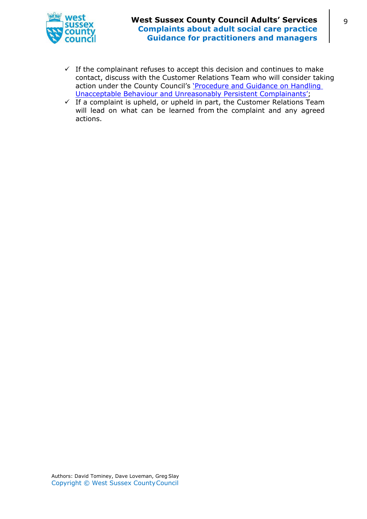

- $\checkmark$  If the complainant refuses to accept this decision and continues to make contact, discuss with the Customer Relations Team who will consider taking action under the County Council's 'Procedure and Guidance on Handling [Unacceptable Behaviour and Unreasonably Persistent Complainants';](https://www.westsussex.gov.uk/media/11493/pro_guide_handling_comps_un_behaviour.pdf)
- <span id="page-8-0"></span> $\checkmark$  If a complaint is upheld, or upheld in part, the Customer Relations Team will lead on what can be learned from the complaint and any agreed actions.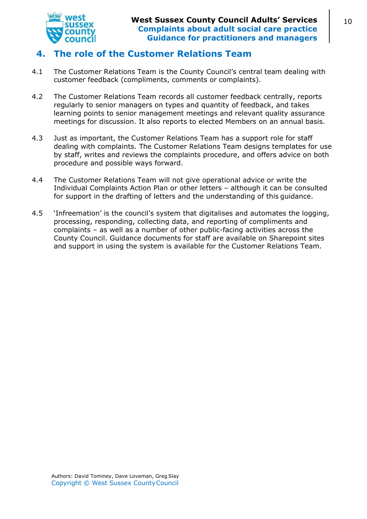

## **4. The role of the Customer Relations Team**

- 4.1 The Customer Relations Team is the County Council's central team dealing with customer feedback (compliments, comments or complaints).
- 4.2 The Customer Relations Team records all customer feedback centrally, reports regularly to senior managers on types and quantity of feedback, and takes learning points to senior management meetings and relevant quality assurance meetings for discussion. It also reports to elected Members on an annual basis.
- 4.3 Just as important, the Customer Relations Team has a support role for staff dealing with complaints. The Customer Relations Team designs templates for use by staff, writes and reviews the complaints procedure, and offers advice on both procedure and possible ways forward.
- 4.4 The Customer Relations Team will not give operational advice or write the Individual Complaints Action Plan or other letters – although it can be consulted for support in the drafting of letters and the understanding of this guidance.
- 4.5 'Infreemation' is the council's system that digitalises and automates the logging, processing, responding, collecting data, and reporting of compliments and complaints – as well as a number of other public-facing activities across the County Council. Guidance documents for staff are available on Sharepoint sites and support in using the system is available for the Customer Relations Team.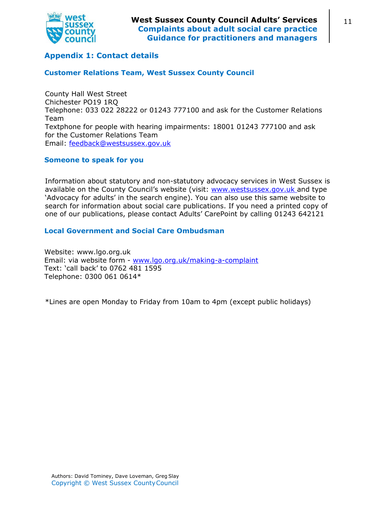

### <span id="page-10-0"></span>**Appendix 1: Contact details**

#### <span id="page-10-1"></span>**Customer Relations Team, West Sussex County Council**

County Hall West Street Chichester PO19 1RQ Telephone: 033 022 28222 or 01243 777100 and ask for the Customer Relations Team Textphone for people with hearing impairments: 18001 01243 777100 and ask for the Customer Relations Team Email: [feedback@westsussex.gov.uk](mailto:feedback@westsussex.gov.uk)

#### <span id="page-10-2"></span>**Someone to speak for you**

Information about statutory and non-statutory advocacy services in West Sussex is available on the County Council's website (visit: [www.westsussex.gov.uk and t](http://www.westsussex.gov.ukand/)ype 'Advocacy for adults' in the search engine). You can also use this same website to search for information about social care publications. If you need a printed copy of one of our publications, please contact Adults' CarePoint by calling 01243 642121

#### <span id="page-10-3"></span>**Local Government and Social Care Ombudsman**

Website: www.lgo.org.uk Email: via website form - [www.lgo.org.uk/making-a-complaint](http://www.lgo.org.uk/making-a-complaint) Text: 'call back' to 0762 481 1595 Telephone: 0300 061 0614\*

\*Lines are open Monday to Friday from 10am to 4pm (except public holidays)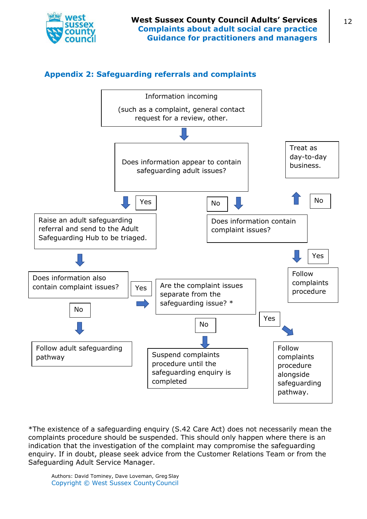<span id="page-11-0"></span>

## **Appendix 2: Safeguarding referrals and complaints**



\*The existence of a safeguarding enquiry (S.42 Care Act) does not necessarily mean the complaints procedure should be suspended. This should only happen where there is an indication that the investigation of the complaint may compromise the safeguarding enquiry. If in doubt, please seek advice from the Customer Relations Team or from the Safeguarding Adult Service Manager.